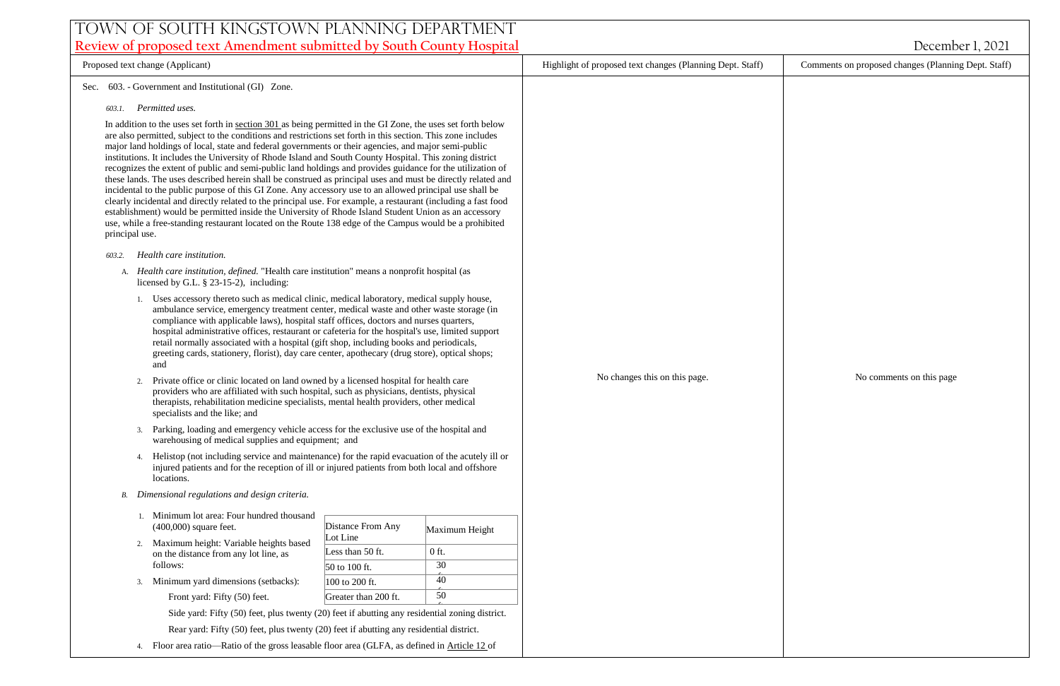# Town of South Kingstown Planning Department **Review of proposed text Amendment submitted by South County Hospital** *December 1, 2021*

Proposed text change (Applicant) Highlight of proposed text changes (Planning Dept. Staff) Comments on proposed changes (Planning Dept. Staff) Sec. 603. - Government and Institutional (GI) Zone. *603.1. Permitted uses.* In addition to the uses set forth in [section 301 a](https://library.municode.com/)s being permitted in the GI Zone, the uses set forth below are also permitted, subject to the conditions and restrictions set forth in this section. This zone includes major land holdings of local, state and federal governments or their agencies, and major semi-public institutions. It includes the University of Rhode Island and South County Hospital. This zoning district recognizes the extent of public and semi-public land holdings and provides guidance for the utilization of these lands. The uses described herein shall be construed as principal uses and must be directly related and incidental to the public purpose of this GI Zone. Any accessory use to an allowed principal use shall be clearly incidental and directly related to the principal use. For example, a restaurant (including a fast food establishment) would be permitted inside the University of Rhode Island Student Union as an accessory use, while a free-standing restaurant located on the Route 138 edge of the Campus would be a prohibited principal use. *603.2. Health care institution.* A. *Health care institution, defined.* "Health care institution" means a nonprofit hospital (as licensed by G.L. § 23-15-2), including: 1. Uses accessory thereto such as medical clinic, medical laboratory, medical supply house, ambulance service, emergency treatment center, medical waste and other waste storage (in compliance with applicable laws), hospital staff offices, doctors and nurses quarters, hospital administrative offices, restaurant or cafeteria for the hospital's use, limited support retail normally associated with a hospital (gift shop, including books and periodicals, greeting cards, stationery, florist), day care center, apothecary (drug store), optical shops; and 2. Private office or clinic located on land owned by a licensed hospital for health care providers who are affiliated with such hospital, such as physicians, dentists, physical therapists, rehabilitation medicine specialists, mental health providers, other medical specialists and the like; and 3. Parking, loading and emergency vehicle access for the exclusive use of the hospital and warehousing of medical supplies and equipment; and Helistop (not including service and maintenance) for the rapid evacuation of the acutely ill or injured patients and for the reception of ill or injured patients from both local and offshore locations. *B. Dimensional regulations and design criteria.* 1. Minimum lot area: Four hundred thousand (400,000) square feet. 2. Maximum height: Variable heights based on the distance from any lot line, as follows: 3. Minimum yard dimensions (setbacks): Front yard: Fifty (50) feet. Side yard: Fifty (50) feet, plus twenty (20) feet if abutting any residential zoning district. Rear yard: Fifty (50) feet, plus twenty (20) feet if abutting any residential district. 4. Floor area ratio—Ratio of the gross leasable floor area (GLFA, as defined in [Article 12 o](https://library.municode.com/)f Distance From Any Lot Line Maximum Height Less than 50 ft.  $\vert$  0 ft.  $50 \text{ to } 100 \text{ ft.}$  30  $\begin{array}{|c|c|c|c|c|} \hline 100 \text{ to } 200 \text{ ft.} & \hspace{1.5cm} 40 \hline \end{array}$ Greater than 200 ft.  $\vert$  50  $\hat{t}$ . No changes this on this page. No comments on this page No comments on this page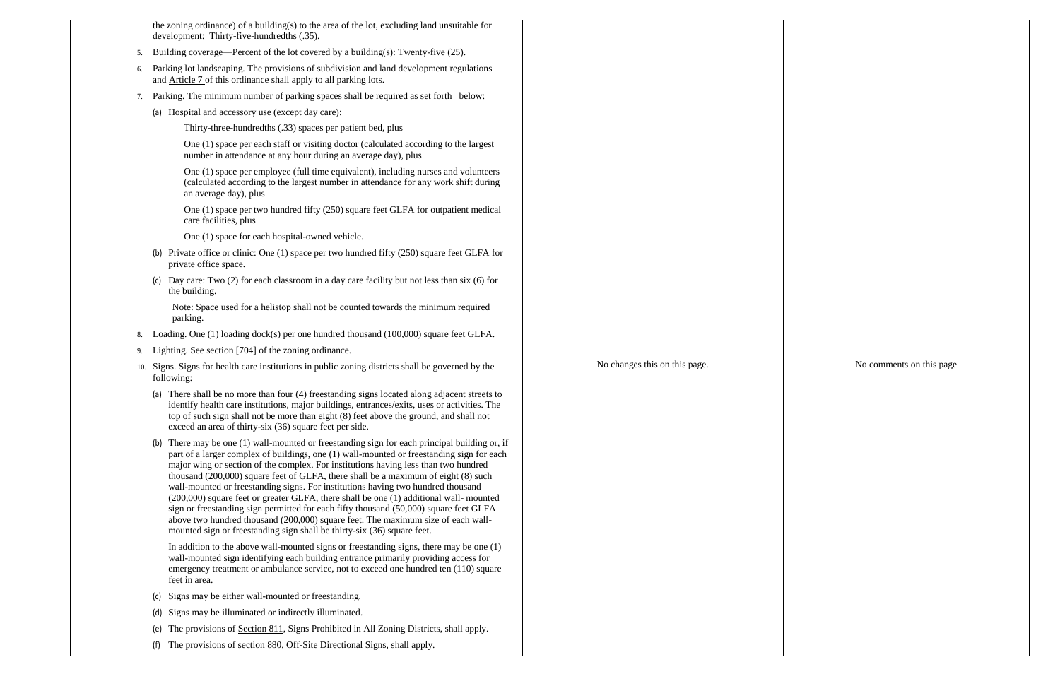|    | the zoning ordinance) of a building(s) to the area of the lot, excluding land unsuitable for<br>development: Thirty-five-hundredths (.35).                                                                                                                                                                                                                                                                                                                                                                                                                                                                                                                                                                                                                                                                   |                               |
|----|--------------------------------------------------------------------------------------------------------------------------------------------------------------------------------------------------------------------------------------------------------------------------------------------------------------------------------------------------------------------------------------------------------------------------------------------------------------------------------------------------------------------------------------------------------------------------------------------------------------------------------------------------------------------------------------------------------------------------------------------------------------------------------------------------------------|-------------------------------|
| 5. | Building coverage—Percent of the lot covered by a building(s): Twenty-five $(25)$ .                                                                                                                                                                                                                                                                                                                                                                                                                                                                                                                                                                                                                                                                                                                          |                               |
| 6. | Parking lot landscaping. The provisions of subdivision and land development regulations<br>and Article 7 of this ordinance shall apply to all parking lots.                                                                                                                                                                                                                                                                                                                                                                                                                                                                                                                                                                                                                                                  |                               |
| 7. | Parking. The minimum number of parking spaces shall be required as set forth below:                                                                                                                                                                                                                                                                                                                                                                                                                                                                                                                                                                                                                                                                                                                          |                               |
|    | (a) Hospital and accessory use (except day care):                                                                                                                                                                                                                                                                                                                                                                                                                                                                                                                                                                                                                                                                                                                                                            |                               |
|    | Thirty-three-hundredths (.33) spaces per patient bed, plus                                                                                                                                                                                                                                                                                                                                                                                                                                                                                                                                                                                                                                                                                                                                                   |                               |
|    | One (1) space per each staff or visiting doctor (calculated according to the largest<br>number in attendance at any hour during an average day), plus                                                                                                                                                                                                                                                                                                                                                                                                                                                                                                                                                                                                                                                        |                               |
|    | One (1) space per employee (full time equivalent), including nurses and volunteers<br>(calculated according to the largest number in attendance for any work shift during<br>an average day), plus                                                                                                                                                                                                                                                                                                                                                                                                                                                                                                                                                                                                           |                               |
|    | One (1) space per two hundred fifty (250) square feet GLFA for outpatient medical<br>care facilities, plus                                                                                                                                                                                                                                                                                                                                                                                                                                                                                                                                                                                                                                                                                                   |                               |
|    | One (1) space for each hospital-owned vehicle.                                                                                                                                                                                                                                                                                                                                                                                                                                                                                                                                                                                                                                                                                                                                                               |                               |
|    | (b) Private office or clinic: One (1) space per two hundred fifty (250) square feet GLFA for<br>private office space.                                                                                                                                                                                                                                                                                                                                                                                                                                                                                                                                                                                                                                                                                        |                               |
|    | (c) Day care: Two $(2)$ for each classroom in a day care facility but not less than six $(6)$ for<br>the building.                                                                                                                                                                                                                                                                                                                                                                                                                                                                                                                                                                                                                                                                                           |                               |
|    | Note: Space used for a helistop shall not be counted towards the minimum required<br>parking.                                                                                                                                                                                                                                                                                                                                                                                                                                                                                                                                                                                                                                                                                                                |                               |
| 8. | Loading. One (1) loading dock(s) per one hundred thousand (100,000) square feet GLFA.                                                                                                                                                                                                                                                                                                                                                                                                                                                                                                                                                                                                                                                                                                                        |                               |
| 9. | Lighting. See section [704] of the zoning ordinance.                                                                                                                                                                                                                                                                                                                                                                                                                                                                                                                                                                                                                                                                                                                                                         |                               |
|    | 10. Signs. Signs for health care institutions in public zoning districts shall be governed by the<br>following:                                                                                                                                                                                                                                                                                                                                                                                                                                                                                                                                                                                                                                                                                              | No changes this on this page. |
|    | There shall be no more than four (4) freestanding signs located along adjacent streets to<br>identify health care institutions, major buildings, entrances/exits, uses or activities. The<br>top of such sign shall not be more than eight (8) feet above the ground, and shall not<br>exceed an area of thirty-six (36) square feet per side.                                                                                                                                                                                                                                                                                                                                                                                                                                                               |                               |
|    | (b) There may be one (1) wall-mounted or freestanding sign for each principal building or, if<br>part of a larger complex of buildings, one (1) wall-mounted or freestanding sign for each<br>major wing or section of the complex. For institutions having less than two hundred<br>thousand (200,000) square feet of GLFA, there shall be a maximum of eight (8) such<br>wall-mounted or freestanding signs. For institutions having two hundred thousand<br>(200,000) square feet or greater GLFA, there shall be one (1) additional wall-mounted<br>sign or freestanding sign permitted for each fifty thousand (50,000) square feet GLFA<br>above two hundred thousand (200,000) square feet. The maximum size of each wall-<br>mounted sign or freestanding sign shall be thirty-six (36) square feet. |                               |
|    | In addition to the above wall-mounted signs or freestanding signs, there may be one $(1)$<br>wall-mounted sign identifying each building entrance primarily providing access for<br>emergency treatment or ambulance service, not to exceed one hundred ten (110) square<br>feet in area.                                                                                                                                                                                                                                                                                                                                                                                                                                                                                                                    |                               |
|    | Signs may be either wall-mounted or freestanding.<br>(c)                                                                                                                                                                                                                                                                                                                                                                                                                                                                                                                                                                                                                                                                                                                                                     |                               |
|    | Signs may be illuminated or indirectly illuminated.<br>(d)                                                                                                                                                                                                                                                                                                                                                                                                                                                                                                                                                                                                                                                                                                                                                   |                               |
|    | The provisions of <u>Section 811</u> , Signs Prohibited in All Zoning Districts, shall apply.<br>(e)                                                                                                                                                                                                                                                                                                                                                                                                                                                                                                                                                                                                                                                                                                         |                               |
|    | The provisions of section 880, Off-Site Directional Signs, shall apply.<br>(f)                                                                                                                                                                                                                                                                                                                                                                                                                                                                                                                                                                                                                                                                                                                               |                               |

No comments on this page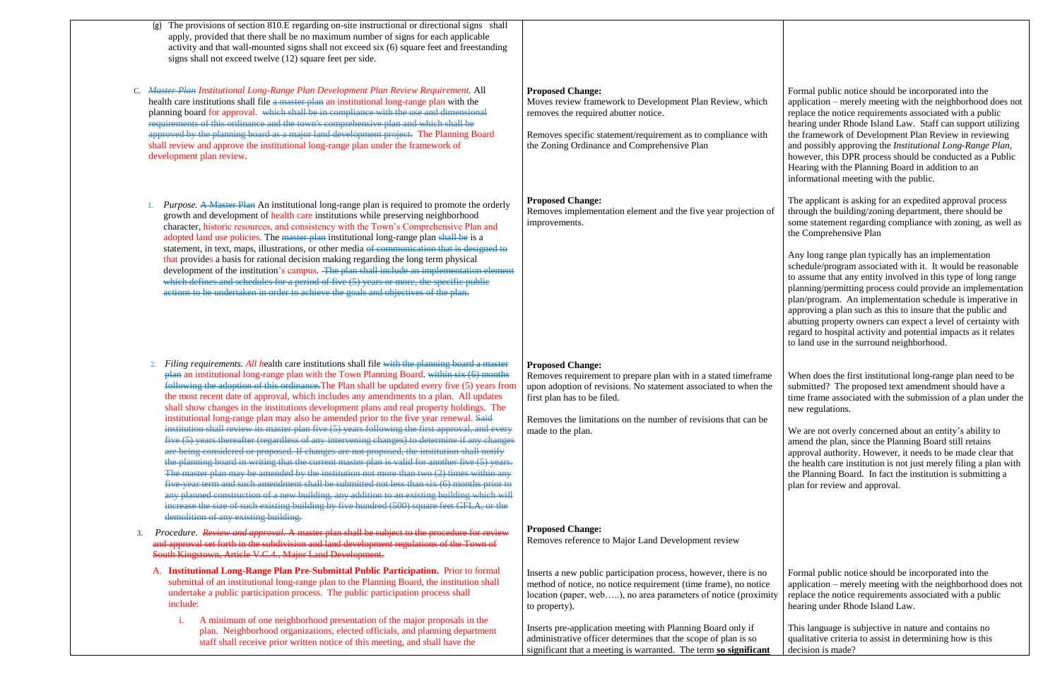- (g) The provisions of section 810.E regarding on-site instructional or directional signs shall apply, provided that there shall be no maximum number of signs for each applicable activity and that wall-mounted signs shall not exceed six (6) square feet and freestanding signs shall not exceed twelve (12) square feet per side.
- C. *Master Plan Institutional Long-Range Plan Development Plan Review Requirement.* All health care institutions shall file a master plan an institutional long-range plan with the planning board for approval. which shall be in compliance with the use and dimensional requirements of this ordinance and the town's comprehensive plan and which shall be approved by the planning board as a major land development project. The Planning Board shall review and approve the institutional long-range plan under the framework of development plan review.
	- 1. *Purpose.* A Master Plan An institutional long-range plan is required to promote the orderly growth and development of health care institutions while preserving neighborhood character, historic resources, and consistency with the Town's Comprehensive Plan and adopted land use policies. The master plan institutional long-range plan shall be is a statement, in text, maps, illustrations, or other media of communication that is designed to that provides a basis for rational decision making regarding the long term physical development of the institution's campus. The plan shall include an implementation element which defines and schedules for a period of five (5) years or more, the specific public actions to be undertaken in order to achieve the goals and objectives of the plan.
	- 2. *Filing requirements. All h*ealth care institutions shall file with the planning board a master plan an institutional long-range plan with the Town Planning Board. within six (6) months following the adoption of this ordinance.The Plan shall be updated every five (5) years from the most recent date of approval, which includes any amendments to a plan. All updates shall show changes in the institutions development plans and real property holdings. The institutional long-range plan may also be amended prior to the five year renewal. Said institution shall review its master plan five (5) years following the first approval, and every five (5) years thereafter (regardless of any intervening changes) to determine if any changes are being considered or proposed. If changes are not proposed, the institution shall notify the planning board in writing that the current master plan is valid for another five (5) years. The master plan may be amended by the institution not more than two (2) times within any five-year term and such amendment shall be submitted not less than six (6) months prior to any planned construction of a new building, any addition to an existing building which will increase the size of such existing building by five hundred (500) square feet GFLA, or the demolition of any existing building.
- 3. *Procedure. Review and approval.* A master plan shall be subject to the procedure for review and approval set forth in the subdivision and land development regulations of the Town of South Kingstown, Article V.C.4., Major Land Development.
	- A. **Institutional Long-Range Plan Pre-Submittal Public Participation.** Prior to formal submittal of an institutional long-range plan to the Planning Board, the institution shall undertake a public participation process. The public participation process shall include:
		- i. A minimum of one neighborhood presentation of the major proposals in the plan. Neighborhood organizations, elected officials, and planning department staff shall receive prior written notice of this meeting, and shall have the

## **Proposed Change:**

Moves review framework to Development Plan Review, which removes the required abutter notice.

Removes specific statement/requirement as to compliance with the Zoning Ordinance and Comprehensive Plan

# **Proposed Change:**

Removes implementation element and the five year projection of improvements.

# **Proposed Change:**

Removes requirement to prepare plan with in a stated timeframe upon adoption of revisions. No statement associated to when the first plan has to be filed.

Removes the limitations on the number of revisions that can be made to the plan.

### **Proposed Change:**

Removes reference to Major Land Development review

Inserts pre-application meeting with Planning Board only if administrative officer determines that the scope of plan is so significant that a meeting is warranted. The term **so significant**

Formal public notice should be incorporated into the application – merely meeting with the neighborhood does not replace the notice requirements associated with a public hearing under Rhode Island Law. Staff can support utilizing the framework of Development Plan Review in reviewing and possibly approving the *Institutional Long-Range Plan*, however, this DPR process should be conducted as a Public Hearing with the Planning Board in addition to an informational meeting with the public.

The applicant is asking for an expedited approval process through the building/zoning department, there should be some statement regarding compliance with zoning, as well as the Comprehensive Plan

Inserts a new public participation process, however, there is no method of notice, no notice requirement (time frame), no notice location (paper, web…..), no area parameters of notice (proximity to property). Formal public notice should be incorporated into the application – merely meeting with the neighborhood does not replace the notice requirements associated with a public hearing under Rhode Island Law.

Any long range plan typically has an implementation schedule/program associated with it. It would be reasonable to assume that any entity involved in this type of long range planning/permitting process could provide an implementation plan/program. An implementation schedule is imperative in approving a plan such as this to insure that the public and abutting property owners can expect a level of certainty with regard to hospital activity and potential impacts as it relates to land use in the surround neighborhood.

When does the first institutional long-range plan need to be submitted? The proposed text amendment should have a time frame associated with the submission of a plan under the new regulations.

We are not overly concerned about an entity's ability to amend the plan, since the Planning Board still retains approval authority. However, it needs to be made clear that the health care institution is not just merely filing a plan with the Planning Board. In fact the institution is submitting a plan for review and approval.

This language is subjective in nature and contains no qualitative criteria to assist in determining how is this decision is made?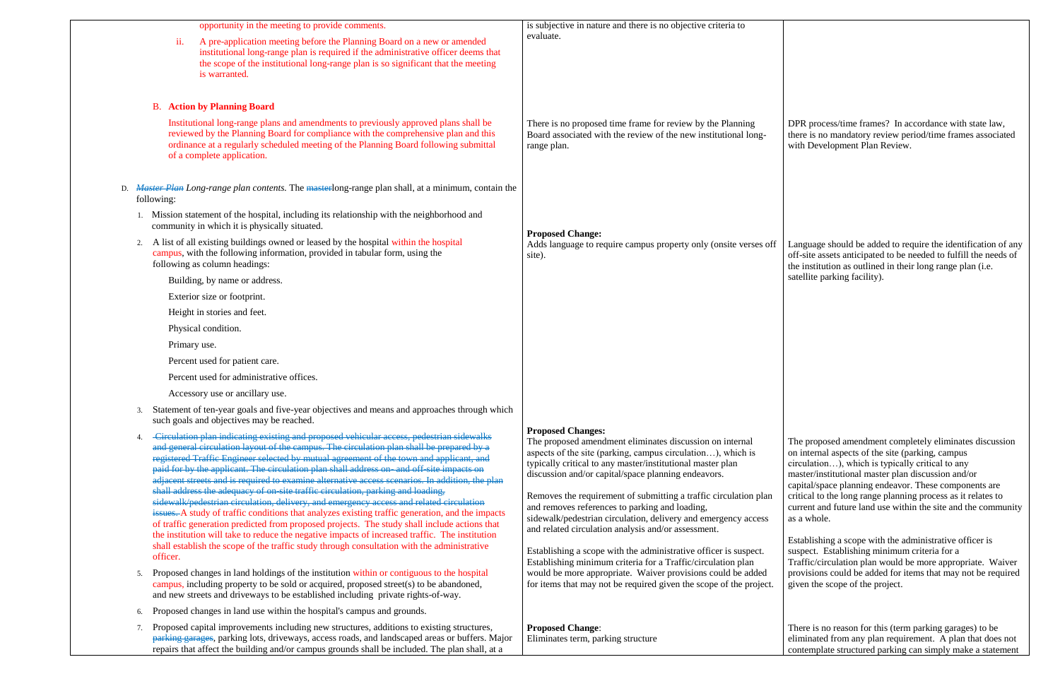|    | opportunity in the meeting to provide comments.                                                                                                                                                                                                                                                                                                                                                                                                                                                                                                                                                                                                                                                                                                                                                                                                                                                                                                                                                                                                                                  | is subjective in nature and there is no objective criteria to                                                                                                                                                                                                                                                                                                                                                                                                                                                                                                                                                                                               |
|----|----------------------------------------------------------------------------------------------------------------------------------------------------------------------------------------------------------------------------------------------------------------------------------------------------------------------------------------------------------------------------------------------------------------------------------------------------------------------------------------------------------------------------------------------------------------------------------------------------------------------------------------------------------------------------------------------------------------------------------------------------------------------------------------------------------------------------------------------------------------------------------------------------------------------------------------------------------------------------------------------------------------------------------------------------------------------------------|-------------------------------------------------------------------------------------------------------------------------------------------------------------------------------------------------------------------------------------------------------------------------------------------------------------------------------------------------------------------------------------------------------------------------------------------------------------------------------------------------------------------------------------------------------------------------------------------------------------------------------------------------------------|
|    | ii.<br>A pre-application meeting before the Planning Board on a new or amended<br>institutional long-range plan is required if the administrative officer deems that<br>the scope of the institutional long-range plan is so significant that the meeting<br>is warranted.                                                                                                                                                                                                                                                                                                                                                                                                                                                                                                                                                                                                                                                                                                                                                                                                       | evaluate.                                                                                                                                                                                                                                                                                                                                                                                                                                                                                                                                                                                                                                                   |
|    | <b>B.</b> Action by Planning Board                                                                                                                                                                                                                                                                                                                                                                                                                                                                                                                                                                                                                                                                                                                                                                                                                                                                                                                                                                                                                                               |                                                                                                                                                                                                                                                                                                                                                                                                                                                                                                                                                                                                                                                             |
|    | Institutional long-range plans and amendments to previously approved plans shall be<br>reviewed by the Planning Board for compliance with the comprehensive plan and this<br>ordinance at a regularly scheduled meeting of the Planning Board following submittal<br>of a complete application.                                                                                                                                                                                                                                                                                                                                                                                                                                                                                                                                                                                                                                                                                                                                                                                  | There is no proposed time frame for review by the Planning<br>Board associated with the review of the new institutional long-<br>range plan.                                                                                                                                                                                                                                                                                                                                                                                                                                                                                                                |
| D. | <i>Master Plan Long-range plan contents.</i> The masterlong-range plan shall, at a minimum, contain the<br>following:                                                                                                                                                                                                                                                                                                                                                                                                                                                                                                                                                                                                                                                                                                                                                                                                                                                                                                                                                            |                                                                                                                                                                                                                                                                                                                                                                                                                                                                                                                                                                                                                                                             |
|    | Mission statement of the hospital, including its relationship with the neighborhood and<br>community in which it is physically situated.                                                                                                                                                                                                                                                                                                                                                                                                                                                                                                                                                                                                                                                                                                                                                                                                                                                                                                                                         | <b>Proposed Change:</b>                                                                                                                                                                                                                                                                                                                                                                                                                                                                                                                                                                                                                                     |
| 2. | A list of all existing buildings owned or leased by the hospital within the hospital<br>campus, with the following information, provided in tabular form, using the<br>following as column headings:                                                                                                                                                                                                                                                                                                                                                                                                                                                                                                                                                                                                                                                                                                                                                                                                                                                                             | Adds language to require campus property only (onsite verses off<br>site).                                                                                                                                                                                                                                                                                                                                                                                                                                                                                                                                                                                  |
|    | Building, by name or address.                                                                                                                                                                                                                                                                                                                                                                                                                                                                                                                                                                                                                                                                                                                                                                                                                                                                                                                                                                                                                                                    |                                                                                                                                                                                                                                                                                                                                                                                                                                                                                                                                                                                                                                                             |
|    | Exterior size or footprint.                                                                                                                                                                                                                                                                                                                                                                                                                                                                                                                                                                                                                                                                                                                                                                                                                                                                                                                                                                                                                                                      |                                                                                                                                                                                                                                                                                                                                                                                                                                                                                                                                                                                                                                                             |
|    | Height in stories and feet.                                                                                                                                                                                                                                                                                                                                                                                                                                                                                                                                                                                                                                                                                                                                                                                                                                                                                                                                                                                                                                                      |                                                                                                                                                                                                                                                                                                                                                                                                                                                                                                                                                                                                                                                             |
|    | Physical condition.                                                                                                                                                                                                                                                                                                                                                                                                                                                                                                                                                                                                                                                                                                                                                                                                                                                                                                                                                                                                                                                              |                                                                                                                                                                                                                                                                                                                                                                                                                                                                                                                                                                                                                                                             |
|    | Primary use.                                                                                                                                                                                                                                                                                                                                                                                                                                                                                                                                                                                                                                                                                                                                                                                                                                                                                                                                                                                                                                                                     |                                                                                                                                                                                                                                                                                                                                                                                                                                                                                                                                                                                                                                                             |
|    | Percent used for patient care.                                                                                                                                                                                                                                                                                                                                                                                                                                                                                                                                                                                                                                                                                                                                                                                                                                                                                                                                                                                                                                                   |                                                                                                                                                                                                                                                                                                                                                                                                                                                                                                                                                                                                                                                             |
|    | Percent used for administrative offices.                                                                                                                                                                                                                                                                                                                                                                                                                                                                                                                                                                                                                                                                                                                                                                                                                                                                                                                                                                                                                                         |                                                                                                                                                                                                                                                                                                                                                                                                                                                                                                                                                                                                                                                             |
|    | Accessory use or ancillary use.                                                                                                                                                                                                                                                                                                                                                                                                                                                                                                                                                                                                                                                                                                                                                                                                                                                                                                                                                                                                                                                  |                                                                                                                                                                                                                                                                                                                                                                                                                                                                                                                                                                                                                                                             |
| 3. | Statement of ten-year goals and five-year objectives and means and approaches through which<br>such goals and objectives may be reached.                                                                                                                                                                                                                                                                                                                                                                                                                                                                                                                                                                                                                                                                                                                                                                                                                                                                                                                                         |                                                                                                                                                                                                                                                                                                                                                                                                                                                                                                                                                                                                                                                             |
| 4. | -Circulation plan indicating existing and proposed vehicular access, pedestrian sidewalks<br>and general circulation layout of the campus. The circulation plan shall be prepared by a<br>registered Traffic Engineer selected by mutual agreement of the town and applicant, and<br>paid for by the applicant. The circulation plan shall address on- and off-site impacts on<br>adjacent streets and is required to examine alternative access scenarios. In addition, the plan<br>shall address the adequacy of on-site traffic circulation, parking and loading,<br>sidewalk/pedestrian circulation, delivery, and emergency access and related circulation<br>issues. A study of traffic conditions that analyzes existing traffic generation, and the impacts<br>of traffic generation predicted from proposed projects. The study shall include actions that<br>the institution will take to reduce the negative impacts of increased traffic. The institution<br>shall establish the scope of the traffic study through consultation with the administrative<br>officer. | <b>Proposed Changes:</b><br>The proposed amendment eliminates discussion on internal<br>aspects of the site (parking, campus circulation), which is<br>typically critical to any master/institutional master plan<br>discussion and/or capital/space planning endeavors.<br>Removes the requirement of submitting a traffic circulation plan<br>and removes references to parking and loading,<br>sidewalk/pedestrian circulation, delivery and emergency access<br>and related circulation analysis and/or assessment.<br>Establishing a scope with the administrative officer is suspect.<br>Establishing minimum criteria for a Traffic/circulation plan |
| 5. | Proposed changes in land holdings of the institution within or contiguous to the hospital<br>campus, including property to be sold or acquired, proposed street(s) to be abandoned,<br>and new streets and driveways to be established including private rights-of-way.                                                                                                                                                                                                                                                                                                                                                                                                                                                                                                                                                                                                                                                                                                                                                                                                          | would be more appropriate. Waiver provisions could be added<br>for items that may not be required given the scope of the project.                                                                                                                                                                                                                                                                                                                                                                                                                                                                                                                           |
| 6. | Proposed changes in land use within the hospital's campus and grounds.                                                                                                                                                                                                                                                                                                                                                                                                                                                                                                                                                                                                                                                                                                                                                                                                                                                                                                                                                                                                           |                                                                                                                                                                                                                                                                                                                                                                                                                                                                                                                                                                                                                                                             |
| 7. | Proposed capital improvements including new structures, additions to existing structures,<br>parking garages, parking lots, driveways, access roads, and landscaped areas or buffers. Major<br>repairs that affect the building and/or campus grounds shall be included. The plan shall, at a                                                                                                                                                                                                                                                                                                                                                                                                                                                                                                                                                                                                                                                                                                                                                                                    | <b>Proposed Change:</b><br>Eliminates term, parking structure                                                                                                                                                                                                                                                                                                                                                                                                                                                                                                                                                                                               |

DPR process/time frames? In accordance with state law, there is no mandatory review period/time frames associated with Development Plan Review.

Language should be added to require the identification of any off-site assets anticipated to be needed to fulfill the needs of the institution as outlined in their long range plan (i.e. satellite parking facility).

The proposed amendment completely eliminates discussion on internal aspects of the site (parking, campus circulation…), which is typically critical to any master/institutional master plan discussion and/or capital/space planning endeavor. These components are critical to the long range planning process as it relates to current and future land use within the site and the community as a whole.

Establishing a scope with the administrative officer is suspect. Establishing minimum criteria for a Traffic/circulation plan would be more appropriate. Waiver provisions could be added for items that may not be required given the scope of the project.

There is no reason for this (term parking garages) to be eliminated from any plan requirement. A plan that does not contemplate structured parking can simply make a statement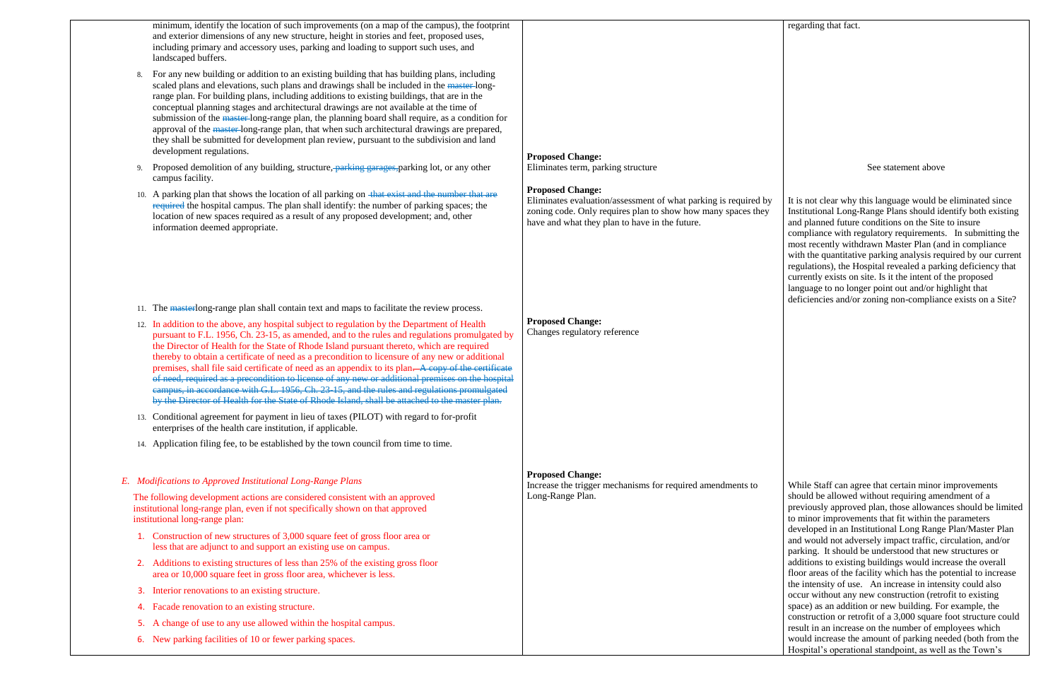|    | minimum, identify the location of such improvements (on a map of the campus), the footprint<br>and exterior dimensions of any new structure, height in stories and feet, proposed uses,<br>including primary and accessory uses, parking and loading to support such uses, and<br>landscaped buffers.                                                                                                                                                                                                                                                                                                                                                                                                                                                                                                                                                                                                                                                                                                                                                                                                                                                    |                                                                                                                                                                                                              |
|----|----------------------------------------------------------------------------------------------------------------------------------------------------------------------------------------------------------------------------------------------------------------------------------------------------------------------------------------------------------------------------------------------------------------------------------------------------------------------------------------------------------------------------------------------------------------------------------------------------------------------------------------------------------------------------------------------------------------------------------------------------------------------------------------------------------------------------------------------------------------------------------------------------------------------------------------------------------------------------------------------------------------------------------------------------------------------------------------------------------------------------------------------------------|--------------------------------------------------------------------------------------------------------------------------------------------------------------------------------------------------------------|
| 8. | For any new building or addition to an existing building that has building plans, including<br>scaled plans and elevations, such plans and drawings shall be included in the master-long-<br>range plan. For building plans, including additions to existing buildings, that are in the<br>conceptual planning stages and architectural drawings are not available at the time of<br>submission of the master-long-range plan, the planning board shall require, as a condition for<br>approval of the master-long-range plan, that when such architectural drawings are prepared,<br>they shall be submitted for development plan review, pursuant to the subdivision and land<br>development regulations.                                                                                                                                                                                                                                                                                                                                                                                                                                              | <b>Proposed Change:</b>                                                                                                                                                                                      |
| 9. | Proposed demolition of any building, structure, parking garages, parking lot, or any other<br>campus facility.                                                                                                                                                                                                                                                                                                                                                                                                                                                                                                                                                                                                                                                                                                                                                                                                                                                                                                                                                                                                                                           | Eliminates term, parking structure                                                                                                                                                                           |
|    | 10. A parking plan that shows the location of all parking on that exist and the number that are<br>required the hospital campus. The plan shall identify: the number of parking spaces; the<br>location of new spaces required as a result of any proposed development; and, other<br>information deemed appropriate.                                                                                                                                                                                                                                                                                                                                                                                                                                                                                                                                                                                                                                                                                                                                                                                                                                    | <b>Proposed Change:</b><br>Eliminates evaluation/assessment of what parking is required by<br>zoning code. Only requires plan to show how many spaces they<br>have and what they plan to have in the future. |
|    | 11. The masterlong-range plan shall contain text and maps to facilitate the review process.<br>12. In addition to the above, any hospital subject to regulation by the Department of Health<br>pursuant to F.L. 1956, Ch. 23-15, as amended, and to the rules and regulations promulgated by<br>the Director of Health for the State of Rhode Island pursuant thereto, which are required<br>thereby to obtain a certificate of need as a precondition to licensure of any new or additional<br>premises, shall file said certificate of need as an appendix to its plan-A copy of the certificate<br>of need, required as a precondition to license of any new or additional premises on the hospital<br>eampus, in accordance with G.L. 1956, Ch. 23-15, and the rules and regulations promulgated<br>by the Director of Health for the State of Rhode Island, shall be attached to the master plan.<br>13. Conditional agreement for payment in lieu of taxes (PILOT) with regard to for-profit<br>enterprises of the health care institution, if applicable.<br>14. Application filing fee, to be established by the town council from time to time. | <b>Proposed Change:</b><br>Changes regulatory reference                                                                                                                                                      |
| E. | Modifications to Approved Institutional Long-Range Plans                                                                                                                                                                                                                                                                                                                                                                                                                                                                                                                                                                                                                                                                                                                                                                                                                                                                                                                                                                                                                                                                                                 | <b>Proposed Change:</b>                                                                                                                                                                                      |
|    | The following development actions are considered consistent with an approved<br>institutional long-range plan, even if not specifically shown on that approved<br>institutional long-range plan:                                                                                                                                                                                                                                                                                                                                                                                                                                                                                                                                                                                                                                                                                                                                                                                                                                                                                                                                                         | Increase the trigger mechanisms for required amendments to<br>Long-Range Plan.                                                                                                                               |
| 1. | Construction of new structures of 3,000 square feet of gross floor area or<br>less that are adjunct to and support an existing use on campus.                                                                                                                                                                                                                                                                                                                                                                                                                                                                                                                                                                                                                                                                                                                                                                                                                                                                                                                                                                                                            |                                                                                                                                                                                                              |
|    | 2. Additions to existing structures of less than 25% of the existing gross floor<br>area or 10,000 square feet in gross floor area, whichever is less.                                                                                                                                                                                                                                                                                                                                                                                                                                                                                                                                                                                                                                                                                                                                                                                                                                                                                                                                                                                                   |                                                                                                                                                                                                              |
| з. | Interior renovations to an existing structure.                                                                                                                                                                                                                                                                                                                                                                                                                                                                                                                                                                                                                                                                                                                                                                                                                                                                                                                                                                                                                                                                                                           |                                                                                                                                                                                                              |
| 4. | Facade renovation to an existing structure.                                                                                                                                                                                                                                                                                                                                                                                                                                                                                                                                                                                                                                                                                                                                                                                                                                                                                                                                                                                                                                                                                                              |                                                                                                                                                                                                              |
| 5. | change of use to any use allowed within the hospital campus.                                                                                                                                                                                                                                                                                                                                                                                                                                                                                                                                                                                                                                                                                                                                                                                                                                                                                                                                                                                                                                                                                             |                                                                                                                                                                                                              |
|    | 6. New parking facilities of 10 or fewer parking spaces.                                                                                                                                                                                                                                                                                                                                                                                                                                                                                                                                                                                                                                                                                                                                                                                                                                                                                                                                                                                                                                                                                                 |                                                                                                                                                                                                              |

regarding that fact.

#### See statement above

It is not clear why this language would be eliminated since Institutional Long-Range Plans should identify both existing and planned future conditions on the Site to insure compliance with regulatory requirements. In submitting the most recently withdrawn Master Plan (and in compliance with the quantitative parking analysis required by our current regulations), the Hospital revealed a parking deficiency that currently exists on site. Is it the intent of the proposed language to no longer point out and/or highlight that deficiencies and/or zoning non-compliance exists on a Site?

While Staff can agree that certain minor improvements should be allowed without requiring amendment of a previously approved plan, those allowances should be limited to minor improvements that fit within the parameters developed in an Institutional Long Range Plan/Master Plan and would not adversely impact traffic, circulation, and/or parking. It should be understood that new structures or additions to existing buildings would increase the overall floor areas of the facility which has the potential to increase the intensity of use. An increase in intensity could also occur without any new construction (retrofit to existing space) as an addition or new building. For example, the construction or retrofit of a 3,000 square foot structure could result in an increase on the number of employees which would increase the amount of parking needed (both from the Hospital's operational standpoint, as well as the Town's